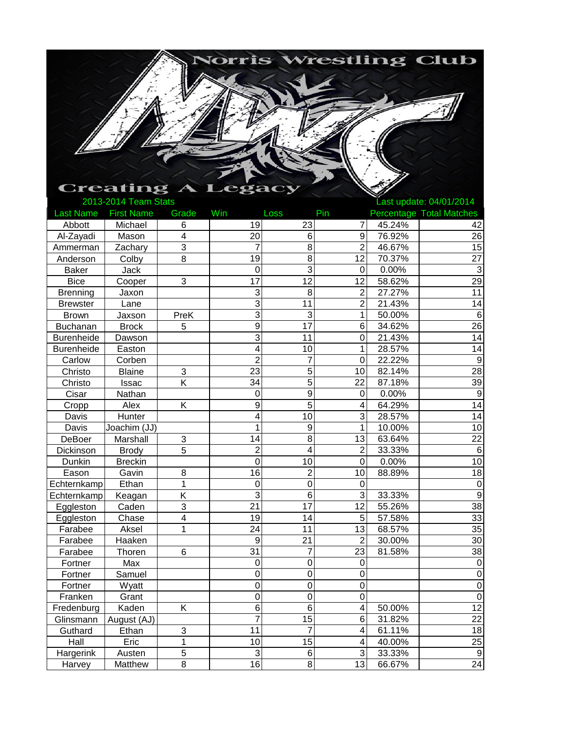

## Last Name First Name Grade Win Loss Pin Percentage Total Matches Abbott | Michael | 6 | 19 | 23 | 7 | 45.24% | 42 Al-Zayadi | Mason | 4 | 20| 6| 9| 76.92% | 26 Ammerman Zachary 3 7 8 2 46.67% 15 Anderson | Colby | 8 | 19| 8| 12| 70.37% | 27 Baker Jack 0 3 0 0.00% 3 Bice | Cooper | 3 | 17 | 12 | 12 | 58.62% | 29 Brenning | Jaxon | | 3| 8| 2| 27.27% | 11 Brewster Lane 3 11 2 21.43% 14 Brown | Jaxson | PreK | 3| 3| 1| 50.00% | 6 Buchanan Brock 5 9 17 6 34.62% 26 Burenheide Dawson 3 11 0 21.43% 14 Burenheide Easton 4 10 1 28.57% 14 Carlow Corben 2 7 0 22.22% 9 Christo Blaine 3 23 5 10 82.14% 28 Christo Issac K 34 5 22 87.18% 39 Cisar Nathan 0 9 0 0.00% 9 Cropp | Alex | K | 9 | 5| 4 64.29% | 14 Davis Hunter 4 10 3 28.57% 14 Davis Joachim (JJ) 1 1 9 1 10.00% 10 DeBoer Marshall 3 14 8 13 63.64% 22 Dickinson Brody 5 2 4 2 33.33% 6 Dunkin Breckin 0 10 0 0.00% 10 Eason | Gavin | 8 | 16| 2| 10| 88.89% | 18  $\text{Echternkamp}$  Ethan 1 1 0 0 0 0 0 0 Echternkamp Keagan | K |  $3$  6  $3$  33.33% | 9 Eggleston Caden 3 21 17 12 55.26% 38 Eggleston Chase 4 19 14 5 57.58% 33 Farabee | Aksel | 1 | 24| 11| 13| 68.57% | 35 Farabee Haaken 9 21 2 30.00% 30 Farabee | Thoren | 6 | 31 | 7 | 23 | 81.58% | 38 Fortner Max 0 0 0 0 Fortner Samuel 0 0 0 0 Fortner Wyatt 0 0 0 0 Franken Grant 0 0 0 0 Fredenburg Kaden K 6 6 4 50.00% 12<br>Glinsmann August (AJ) 7 15 6 31.82% 22 Glinsmann  $\begin{array}{|c|c|c|c|c|c|}\n\hline\n\end{array}$   $\begin{array}{|c|c|c|c|c|}\n\hline\n\end{array}$  7 15 6 31.82% Guthard | Ethan | 3 | 11 11 7 4 61.11% | 18 Hall | Eric | 1 | 10| 15| 4|40.00% | 25 Hargerink | Austen | 5 | 3| 6| 3| 33.33% | 9 Harvey Matthew 8 16 8 13 66.67% 24